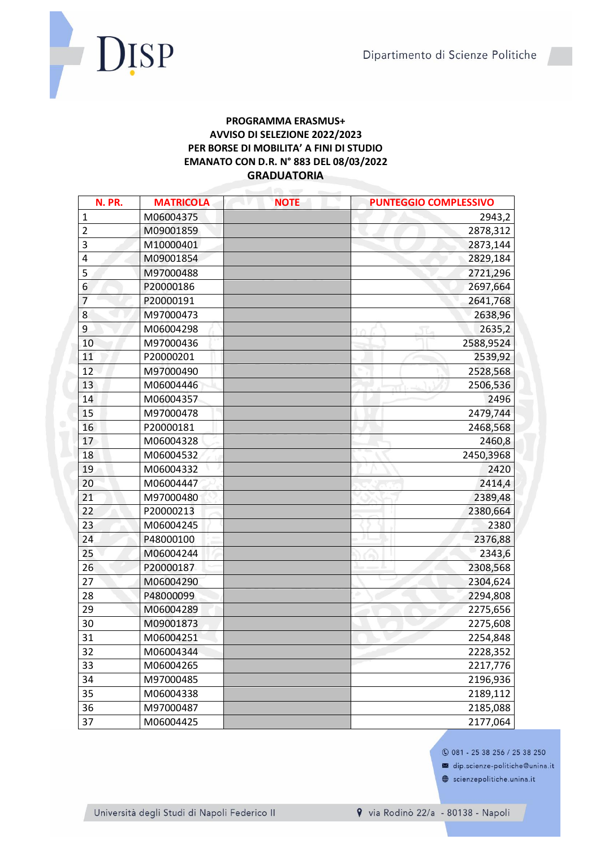

## **PROGRAMMA ERASMUS+** AVVISO DI SELEZIONE 2022/2023 PER BORSE DI MOBILITA' A FINI DI STUDIO EMANATO CON D.R. N° 883 DEL 08/03/2022 **GRADUATORIA**

| N. PR.         | <b>MATRICOLA</b> | <b>NOTE</b> | <b>PUNTEGGIO COMPLESSIVO</b> |
|----------------|------------------|-------------|------------------------------|
| $\mathbf{1}$   | M06004375        |             | 2943,2                       |
| $\overline{2}$ | M09001859        |             | 2878,312                     |
| 3              | M10000401        |             | 2873,144                     |
| 4              | M09001854        |             | 2829,184                     |
| 5              | M97000488        |             | 2721,296                     |
| 6              | P20000186        |             | 2697,664                     |
| $\overline{7}$ | P20000191        |             | 2641,768                     |
| 8              | M97000473        |             | 2638,96                      |
| 9              | M06004298        |             | 2635,2                       |
| 10             | M97000436        |             | 2588,9524                    |
| 11             | P20000201        |             | 2539,92                      |
| 12             | M97000490        |             | 2528,568                     |
| 13             | M06004446        |             | 2506,536                     |
| 14             | M06004357        |             | 2496                         |
| 15             | M97000478        |             | 2479,744                     |
| 16             | P20000181        |             | 2468,568                     |
| 17             | M06004328        |             | 2460,8                       |
| 18             | M06004532        |             | 2450,3968                    |
| 19             | M06004332        |             | 2420                         |
| 20             | M06004447        |             | 2414,4                       |
| 21             | M97000480        |             | 2389,48                      |
| 22             | P20000213        |             | 2380,664                     |
| 23             | M06004245        |             | 2380                         |
| 24             | P48000100        |             | 2376,88                      |
| 25             | M06004244        |             | 2343,6                       |
| 26             | P20000187        |             | 2308,568                     |
| 27             | M06004290        |             | 2304,624                     |
| 28             | P48000099        |             | 2294,808                     |
| 29             | M06004289        |             | 2275,656                     |
| 30             | M09001873        |             | 2275,608                     |
| 31             | M06004251        |             | 2254,848                     |
| 32             | M06004344        |             | 2228,352                     |
| 33             | M06004265        |             | 2217,776                     |
| 34             | M97000485        |             | 2196,936                     |
| 35             | M06004338        |             | 2189,112                     |
| 36             | M97000487        |             | 2185,088                     |
| 37             | M06004425        |             | 2177,064                     |

## **0 081 - 25 38 256 / 25 38 250**

dip.scienze-politiche@unina.it

scienzepolitiche.unina.it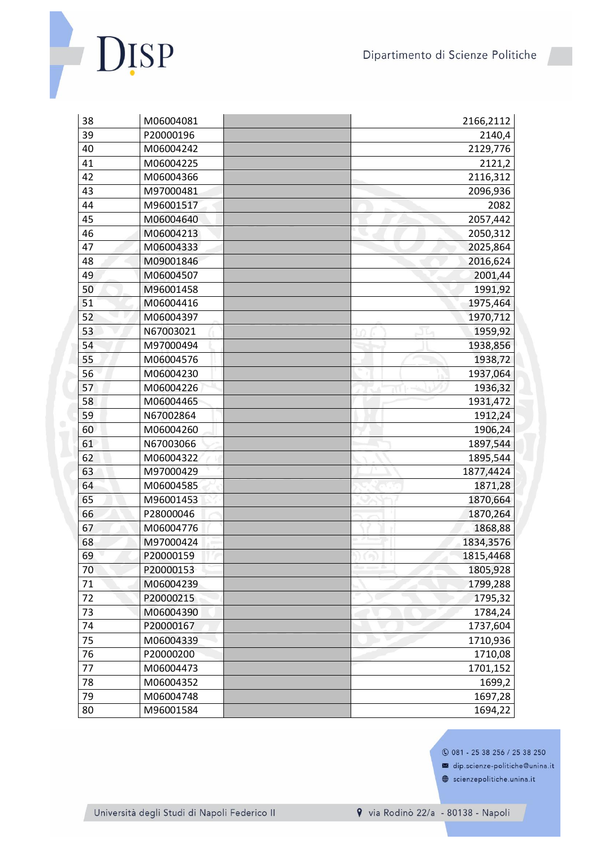Dipartimento di Scienze Politiche



| 38 | M06004081 | 2166,2112 |
|----|-----------|-----------|
| 39 | P20000196 | 2140,4    |
| 40 | M06004242 | 2129,776  |
| 41 | M06004225 | 2121,2    |
| 42 | M06004366 | 2116,312  |
| 43 | M97000481 | 2096,936  |
| 44 | M96001517 | 2082      |
| 45 | M06004640 | 2057,442  |
| 46 | M06004213 | 2050,312  |
| 47 | M06004333 | 2025,864  |
| 48 | M09001846 | 2016,624  |
| 49 | M06004507 | 2001,44   |
| 50 | M96001458 | 1991,92   |
| 51 | M06004416 | 1975,464  |
| 52 | M06004397 | 1970,712  |
| 53 | N67003021 | 1959,92   |
| 54 | M97000494 | 1938,856  |
| 55 | M06004576 | 1938,72   |
| 56 | M06004230 | 1937,064  |
| 57 | M06004226 | 1936,32   |
| 58 | M06004465 | 1931,472  |
| 59 | N67002864 | 1912,24   |
| 60 | M06004260 | 1906,24   |
| 61 | N67003066 | 1897,544  |
| 62 | M06004322 | 1895,544  |
| 63 | M97000429 | 1877,4424 |
| 64 | M06004585 | 1871,28   |
| 65 | M96001453 | 1870,664  |
| 66 | P28000046 | 1870,264  |
| 67 | M06004776 | 1868,88   |
| 68 | M97000424 | 1834,3576 |
| 69 | P20000159 | 1815,4468 |
| 70 | P20000153 | 1805,928  |
| 71 | M06004239 | 1799,288  |
| 72 | P20000215 | 1795,32   |
| 73 | M06004390 | 1784,24   |
| 74 | P20000167 | 1737,604  |
| 75 | M06004339 | 1710,936  |
| 76 | P20000200 | 1710,08   |
| 77 | M06004473 | 1701,152  |
| 78 | M06004352 | 1699,2    |
| 79 | M06004748 | 1697,28   |
| 80 | M96001584 | 1694,22   |

**0 081 - 25 38 256 / 25 38 250** 

dip.scienze-politiche@unina.it

Scienzepolitiche.unina.it

Università degli Studi di Napoli Federico II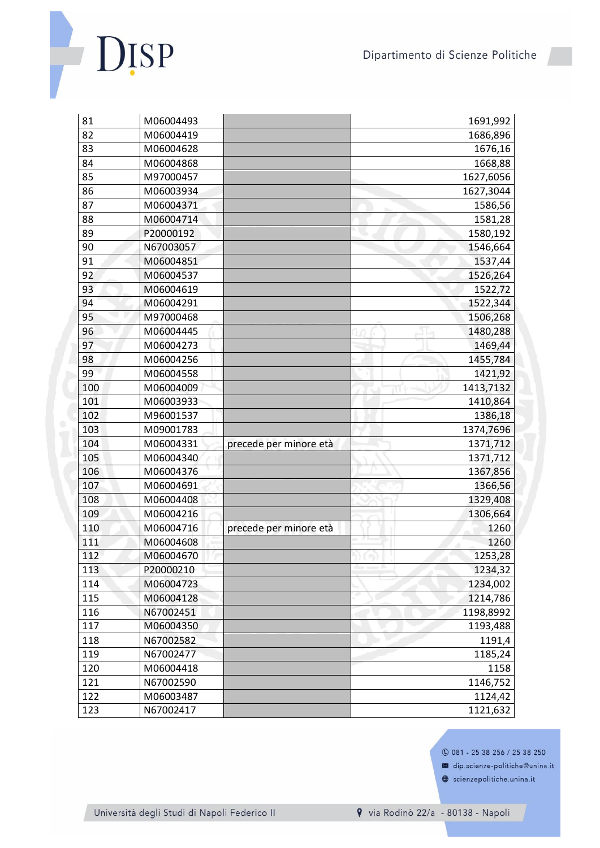Dipartimento di Scienze Politiche



| 81  | M06004493 |                        | 1691,992  |
|-----|-----------|------------------------|-----------|
| 82  | M06004419 |                        | 1686,896  |
| 83  | M06004628 |                        | 1676,16   |
| 84  | M06004868 |                        | 1668,88   |
| 85  | M97000457 |                        | 1627,6056 |
| 86  | M06003934 |                        | 1627,3044 |
| 87  | M06004371 |                        | 1586,56   |
| 88  | M06004714 |                        | 1581,28   |
| 89  | P20000192 |                        | 1580,192  |
| 90  | N67003057 |                        | 1546,664  |
| 91  | M06004851 |                        | 1537,44   |
| 92  | M06004537 |                        | 1526,264  |
| 93  | M06004619 |                        | 1522,72   |
| 94  | M06004291 |                        | 1522,344  |
| 95  | M97000468 |                        | 1506,268  |
| 96  | M06004445 |                        | 1480,288  |
| 97  | M06004273 |                        | 1469,44   |
| 98  | M06004256 |                        | 1455,784  |
| 99  | M06004558 |                        | 1421,92   |
| 100 | M06004009 |                        | 1413,7132 |
| 101 | M06003933 |                        | 1410,864  |
| 102 | M96001537 |                        | 1386,18   |
| 103 | M09001783 |                        | 1374,7696 |
| 104 | M06004331 | precede per minore età | 1371,712  |
| 105 | M06004340 |                        | 1371,712  |
| 106 | M06004376 |                        | 1367,856  |
| 107 | M06004691 |                        | 1366,56   |
| 108 | M06004408 |                        | 1329,408  |
| 109 | M06004216 |                        | 1306,664  |
| 110 | M06004716 | precede per minore età | 1260      |
| 111 | M06004608 |                        | 1260      |
| 112 | M06004670 |                        | 1253,28   |
| 113 | P20000210 |                        | 1234,32   |
| 114 | M06004723 |                        | 1234,002  |
| 115 | M06004128 |                        | 1214,786  |
| 116 | N67002451 |                        | 1198,8992 |
| 117 | M06004350 |                        | 1193,488  |
| 118 | N67002582 |                        | 1191,4    |
| 119 | N67002477 |                        | 1185,24   |
| 120 | M06004418 |                        | 1158      |
| 121 | N67002590 |                        | 1146,752  |
| 122 | M06003487 |                        | 1124,42   |
| 123 | N67002417 |                        | 1121,632  |

**0 081 - 25 38 256 / 25 38 250** 

dip.scienze-politiche@unina.it

Scienzepolitiche.unina.it

Università degli Studi di Napoli Federico II